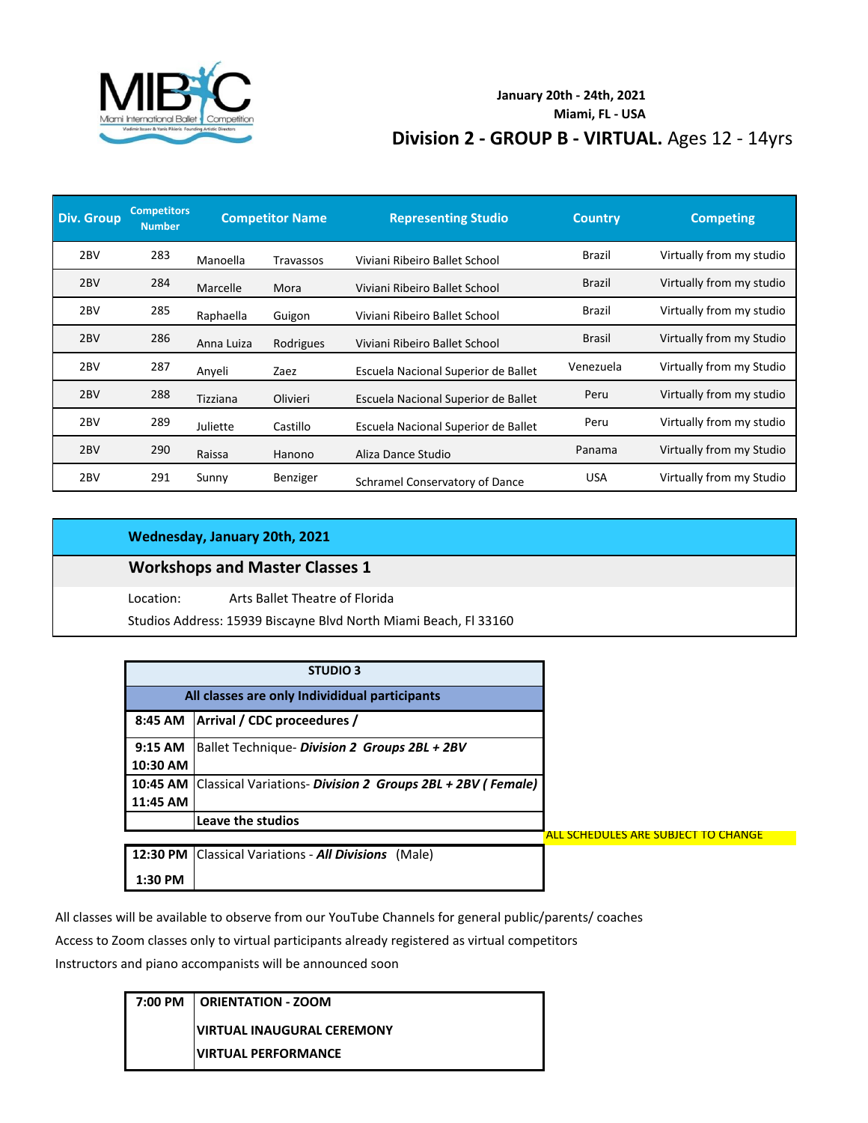

### **Division 2 - GROUP B - VIRTUAL.** Ages 12 - 14yrs **January 20th - 24th, 2021 Miami, FL - USA**

| <b>Div. Group</b> | <b>Competitors</b><br><b>Number</b> |            | <b>Competitor Name</b> | <b>Representing Studio</b>          | <b>Country</b> | <b>Competing</b>         |
|-------------------|-------------------------------------|------------|------------------------|-------------------------------------|----------------|--------------------------|
| 2 <sub>BV</sub>   | 283                                 | Manoella   | Travassos              | Viviani Ribeiro Ballet School       | Brazil         | Virtually from my studio |
| 2 <sub>BV</sub>   | 284                                 | Marcelle   | Mora                   | Viviani Ribeiro Ballet School       | Brazil         | Virtually from my studio |
| 2 <sub>BV</sub>   | 285                                 | Raphaella  | Guigon                 | Viviani Ribeiro Ballet School       | Brazil         | Virtually from my studio |
| 2 <sub>BV</sub>   | 286                                 | Anna Luiza | Rodrigues              | Viviani Ribeiro Ballet School       | <b>Brasil</b>  | Virtually from my Studio |
| 2 <sub>BV</sub>   | 287                                 | Anyeli     | Zaez                   | Escuela Nacional Superior de Ballet | Venezuela      | Virtually from my Studio |
| 2 <sub>BV</sub>   | 288                                 | Tizziana   | Olivieri               | Escuela Nacional Superior de Ballet | Peru           | Virtually from my studio |
| 2 <sub>BV</sub>   | 289                                 | Juliette   | Castillo               | Escuela Nacional Superior de Ballet | Peru           | Virtually from my studio |
| 2 <sub>BV</sub>   | 290                                 | Raissa     | Hanono                 | Aliza Dance Studio                  | Panama         | Virtually from my Studio |
| 2 <sub>BV</sub>   | 291                                 | Sunny      | Benziger               | Schramel Conservatory of Dance      | <b>USA</b>     | Virtually from my Studio |

#### **Wednesday, January 20th, 2021**

## **Workshops and Master Classes 1**

Location: Arts Ballet Theatre of Florida

Studios Address: 15939 Biscayne Blvd North Miami Beach, Fl 33160

|           | <b>STUDIO 3</b>                                                     |
|-----------|---------------------------------------------------------------------|
|           | All classes are only Individidual participants                      |
| 8:45 AM   | Arrival / CDC proceedures /                                         |
| $9:15$ AM | Ballet Technique- Division 2 Groups 2BL + 2BV                       |
| 10:30 AM  |                                                                     |
|           | 10:45 AM Classical Variations- Division 2 Groups 2BL + 2BV (Female) |
| 11:45 AM  |                                                                     |
|           | <b>Leave the studios</b>                                            |
|           |                                                                     |
|           | 12:30 PM Classical Variations - All Divisions<br>(Male)             |
| 1:30 PM   |                                                                     |

All classes will be available to observe from our YouTube Channels for general public/parents/ coaches

Access to Zoom classes only to virtual participants already registered as virtual competitors

Instructors and piano accompanists will be announced soon

| 7:00 PM   ORIENTATION - ZOOM      |
|-----------------------------------|
| <b>VIRTUAL INAUGURAL CEREMONY</b> |
| <b>UIRTUAL PERFORMANCE</b>        |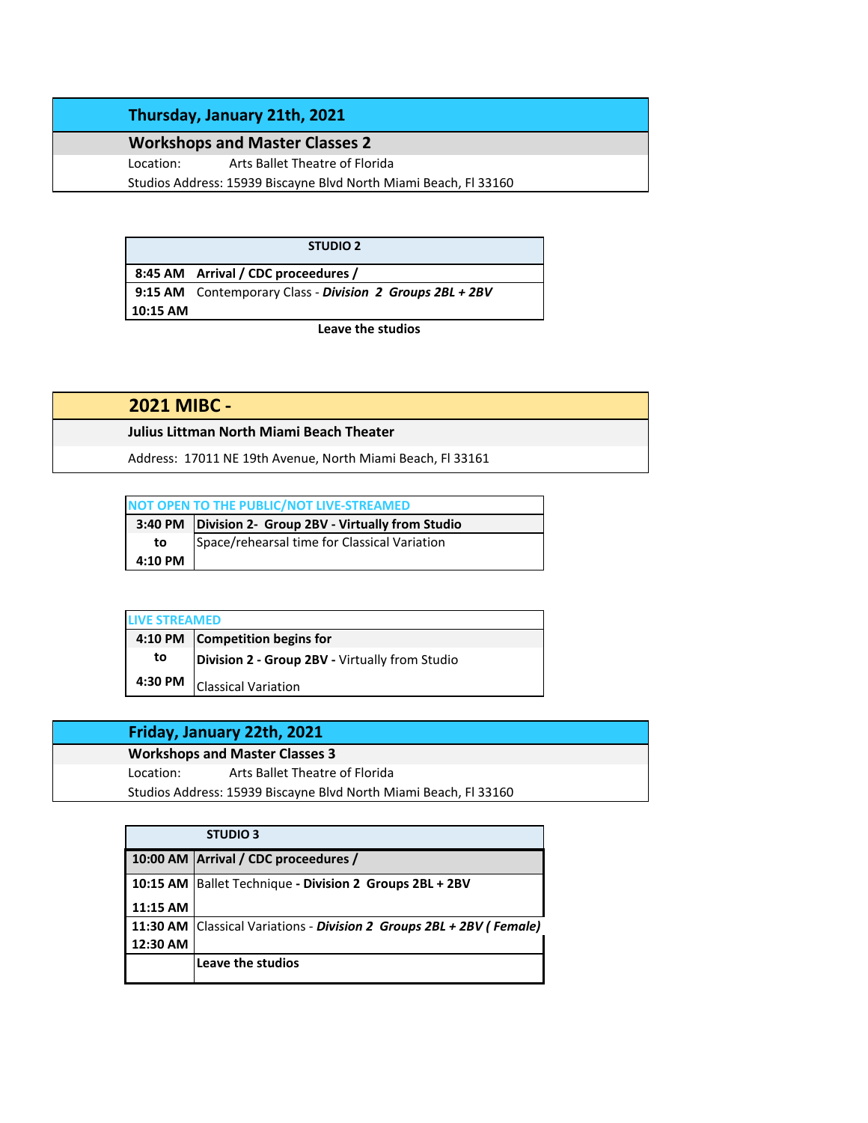### **Thursday, January 21th, 2021**

**Workshops and Master Classes 2** Location: Arts Ballet Theatre of Florida

Studios Address: 15939 Biscayne Blvd North Miami Beach, Fl 33160

**STUDIO 2**

**8:45 AM Arrival / CDC proceedures / 9:15 AM** Contemporary Class - *Division 2 Groups 2BL + 2BV* **10:15 AM**

**Leave the studios**

**2021 MIBC -** 

**Julius Littman North Miami Beach Theater**

Address: 17011 NE 19th Avenue, North Miami Beach, Fl 33161

| NOT OPEN TO THE PUBLIC/NOT LIVE-STREAMED |                                                         |  |
|------------------------------------------|---------------------------------------------------------|--|
|                                          | 3:40 PM   Division 2- Group 2BV - Virtually from Studio |  |
| to                                       | Space/rehearsal time for Classical Variation            |  |
| $4:10$ PM                                |                                                         |  |

| <b>LIVE STREAMED</b> |                                                |  |
|----------------------|------------------------------------------------|--|
|                      | 4:10 PM Competition begins for                 |  |
| to                   | Division 2 - Group 2BV - Virtually from Studio |  |
| 4:30 PM              | <b>Classical Variation</b>                     |  |

|           | Friday, January 22th, 2021                                       |
|-----------|------------------------------------------------------------------|
|           | <b>Workshops and Master Classes 3</b>                            |
| Location: | Arts Ballet Theatre of Florida                                   |
|           | Studios Address: 15939 Biscayne Blvd North Miami Beach, Fl 33160 |
|           |                                                                  |

|          | <b>STUDIO 3</b>                                                      |
|----------|----------------------------------------------------------------------|
|          | 10:00 AM Arrival / CDC proceedures /                                 |
|          | 10:15 AM Ballet Technique - Division 2 Groups 2BL + 2BV              |
| 11:15 AM |                                                                      |
|          | 11:30 AM Classical Variations - Division 2 Groups 2BL + 2BV (Female) |
| 12:30 AM |                                                                      |
|          | Leave the studios                                                    |